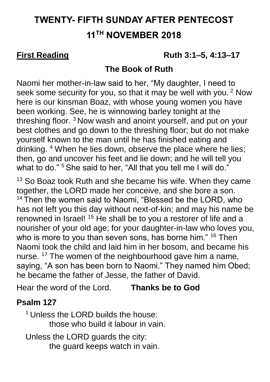# **TWENTY- FIFTH SUNDAY AFTER PENTECOST 11TH NOVEMBER 2018**

### **First Reading 6.12 Ruth 3:1–5, 4:13–17**

### **The Book of Ruth**

Naomi her mother-in-law said to her, "My daughter, I need to seek some security for you, so that it may be well with you.<sup>2</sup> Now here is our kinsman Boaz, with whose young women you have been working. See, he is winnowing barley tonight at the threshing floor.<sup>3</sup> Now wash and anoint yourself, and put on your best clothes and go down to the threshing floor; but do not make yourself known to the man until he has finished eating and drinking. <sup>4</sup> When he lies down, observe the place where he lies; then, go and uncover his feet and lie down; and he will tell you what to do." <sup>5</sup> She said to her, "All that you tell me I will do."

 $13$  So Boaz took Ruth and she became his wife. When they came together, the LORD made her conceive, and she bore a son. <sup>14</sup> Then the women said to Naomi, "Blessed be the LORD, who has not left you this day without next-of-kin; and may his name be renowned in Israel! <sup>15</sup> He shall be to you a restorer of life and a nourisher of your old age; for your daughter-in-law who loves you, who is more to you than seven sons, has borne him." <sup>16</sup> Then Naomi took the child and laid him in her bosom, and became his nurse. <sup>17</sup> The women of the neighbourhood gave him a name, saying, "A son has been born to Naomi." They named him Obed; he became the father of Jesse, the father of David.

Hear the word of the Lord. **Thanks be to God**

### **Psalm 127**

<sup>1</sup> Unless the LORD builds the house: those who build it labour in vain.

 Unless the LORD guards the city: the guard keeps watch in vain.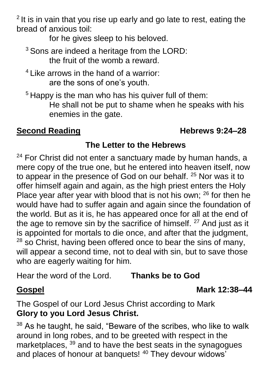$2$  It is in vain that you rise up early and go late to rest, eating the bread of anxious toil:

for he gives sleep to his beloved.

- <sup>3</sup> Sons are indeed a heritage from the LORD: the fruit of the womb a reward.
- <sup>4</sup> Like arrows in the hand of a warrior: are the sons of one's youth.
- <sup>5</sup> Happy is the man who has his quiver full of them: He shall not be put to shame when he speaks with his enemies in the gate.

### **Second Reading Constraining Reading Reading Reading Research Research Research Research Research Research Research Research Research Research Research Research Research Research Research Research Research Research Researc**

## **The Letter to the Hebrews**

<sup>24</sup> For Christ did not enter a sanctuary made by human hands, a mere copy of the true one, but he entered into heaven itself, now to appear in the presence of God on our behalf. <sup>25</sup> Nor was it to offer himself again and again, as the high priest enters the Holy Place year after year with blood that is not his own;  $26$  for then he would have had to suffer again and again since the foundation of the world. But as it is, he has appeared once for all at the end of the age to remove sin by the sacrifice of himself.  $27$  And just as it is appointed for mortals to die once, and after that the judgment,  $28$  so Christ, having been offered once to bear the sins of many, will appear a second time, not to deal with sin, but to save those who are eagerly waiting for him.

Hear the word of the Lord. **Thanks be to God**

### **Gospel Mark 12:38–44**

The Gospel of our Lord Jesus Christ according to Mark **Glory to you Lord Jesus Christ.**

<sup>38</sup> As he taught, he said, "Beware of the scribes, who like to walk around in long robes, and to be greeted with respect in the marketplaces, <sup>39</sup> and to have the best seats in the synagogues and places of honour at banquets! <sup>40</sup> They devour widows'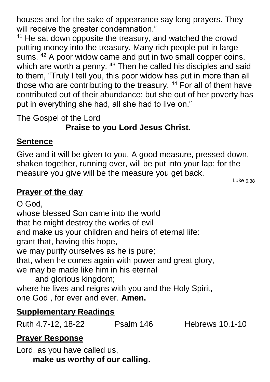houses and for the sake of appearance say long prayers. They will receive the greater condemnation."

<sup>41</sup> He sat down opposite the treasury, and watched the crowd putting money into the treasury. Many rich people put in large sums. <sup>42</sup> A poor widow came and put in two small copper coins, which are worth a penny. <sup>43</sup> Then he called his disciples and said to them, "Truly I tell you, this poor widow has put in more than all those who are contributing to the treasury. <sup>44</sup> For all of them have contributed out of their abundance; but she out of her poverty has put in everything she had, all she had to live on."

The Gospel of the Lord

## **Praise to you Lord Jesus Christ.**

## **Sentence**

Give and it will be given to you. A good measure, pressed down, shaken together, running over, will be put into your lap; for the measure you give will be the measure you get back.

Luke 6.38

## **Prayer of the day**

O God, whose blessed Son came into the world that he might destroy the works of evil and make us your children and heirs of eternal life: grant that, having this hope, we may purify ourselves as he is pure; that, when he comes again with power and great glory, we may be made like him in his eternal and glorious kingdom; where he lives and reigns with you and the Holy Spirit, one God , for ever and ever. **Amen.**

## **Supplementary Readings**

Ruth 4.7-12, 18-22 Psalm 146 Hebrews 10.1-10

## **Prayer Response**

Lord, as you have called us, **make us worthy of our calling.**